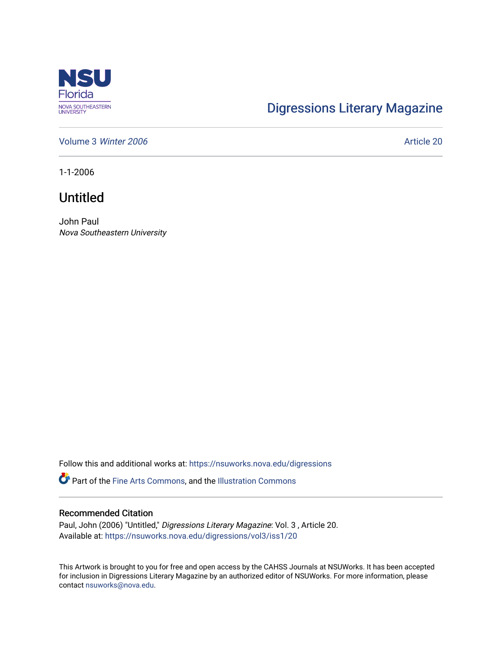

## [Digressions Literary Magazine](https://nsuworks.nova.edu/digressions)

[Volume 3](https://nsuworks.nova.edu/digressions/vol3) Winter 2006 **Article 20** Article 20

1-1-2006

## Untitled

John Paul Nova Southeastern University

Follow this and additional works at: [https://nsuworks.nova.edu/digressions](https://nsuworks.nova.edu/digressions?utm_source=nsuworks.nova.edu%2Fdigressions%2Fvol3%2Fiss1%2F20&utm_medium=PDF&utm_campaign=PDFCoverPages) 

Part of the [Fine Arts Commons,](http://network.bepress.com/hgg/discipline/1141?utm_source=nsuworks.nova.edu%2Fdigressions%2Fvol3%2Fiss1%2F20&utm_medium=PDF&utm_campaign=PDFCoverPages) and the [Illustration Commons](http://network.bepress.com/hgg/discipline/1135?utm_source=nsuworks.nova.edu%2Fdigressions%2Fvol3%2Fiss1%2F20&utm_medium=PDF&utm_campaign=PDFCoverPages)

## Recommended Citation

Paul, John (2006) "Untitled," Digressions Literary Magazine: Vol. 3 , Article 20. Available at: [https://nsuworks.nova.edu/digressions/vol3/iss1/20](https://nsuworks.nova.edu/digressions/vol3/iss1/20?utm_source=nsuworks.nova.edu%2Fdigressions%2Fvol3%2Fiss1%2F20&utm_medium=PDF&utm_campaign=PDFCoverPages) 

This Artwork is brought to you for free and open access by the CAHSS Journals at NSUWorks. It has been accepted for inclusion in Digressions Literary Magazine by an authorized editor of NSUWorks. For more information, please contact [nsuworks@nova.edu.](mailto:nsuworks@nova.edu)